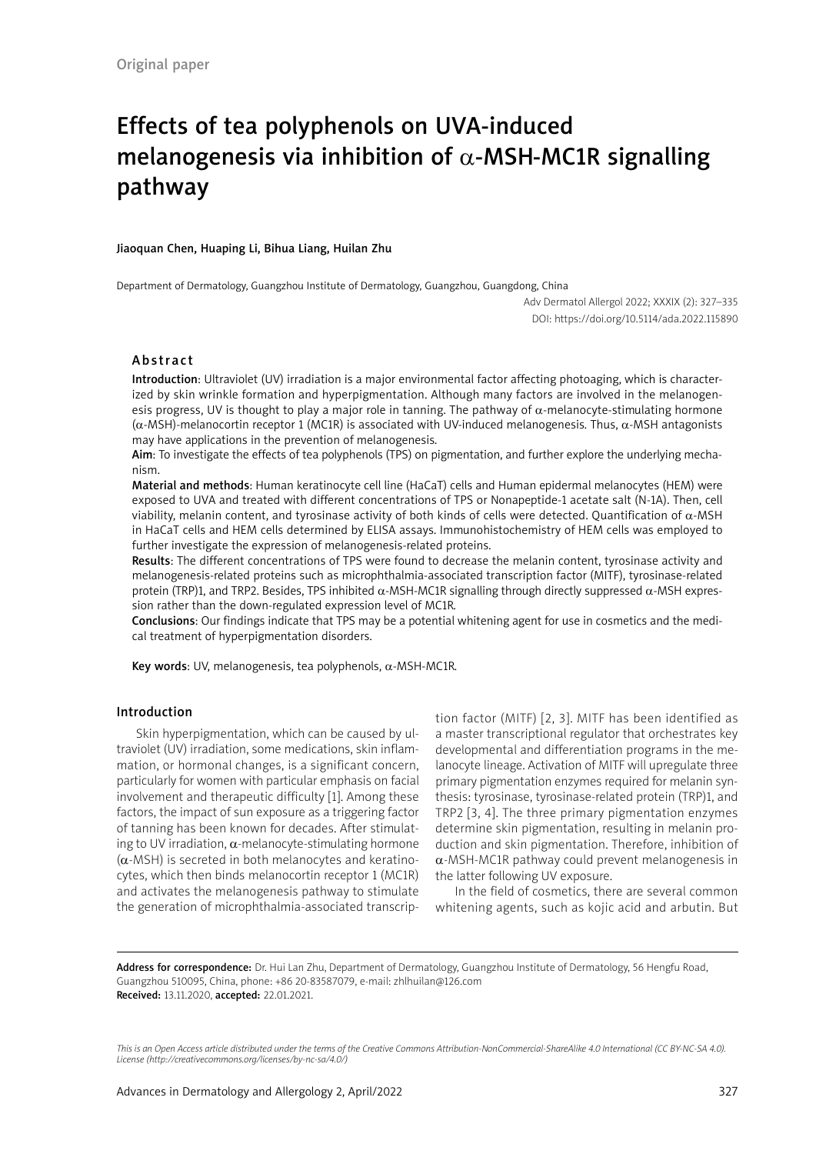# Effects of tea polyphenols on UVA-induced melanogenesis via inhibition of  $\alpha$ -MSH-MC1R signalling pathway

#### Jiaoquan Chen, Huaping Li, Bihua Liang, Huilan Zhu

Department of Dermatology, Guangzhou Institute of Dermatology, Guangzhou, Guangdong, China

Adv Dermatol Allergol 2022; XXXIX (2): 327–335 DOI: https://doi.org/10.5114/ada.2022.115890

## Abstract

Introduction: Ultraviolet (UV) irradiation is a major environmental factor affecting photoaging, which is characterized by skin wrinkle formation and hyperpigmentation. Although many factors are involved in the melanogenesis progress, UV is thought to play a major role in tanning. The pathway of  $\alpha$ -melanocyte-stimulating hormone (α-MSH)-melanocortin receptor 1 (MC1R) is associated with UV-induced melanogenesis. Thus, α-MSH antagonists may have applications in the prevention of melanogenesis.

Aim: To investigate the effects of tea polyphenols (TPS) on pigmentation, and further explore the underlying mechanism.

Material and methods: Human keratinocyte cell line (HaCaT) cells and Human epidermal melanocytes (HEM) were exposed to UVA and treated with different concentrations of TPS or Nonapeptide-1 acetate salt (N-1A). Then, cell viability, melanin content, and tyrosinase activity of both kinds of cells were detected. Quantification of  $α$ -MSH in HaCaT cells and HEM cells determined by ELISA assays. Immunohistochemistry of HEM cells was employed to further investigate the expression of melanogenesis-related proteins.

Results: The different concentrations of TPS were found to decrease the melanin content, tyrosinase activity and melanogenesis-related proteins such as microphthalmia-associated transcription factor (MITF), tyrosinase-related protein (TRP)1, and TRP2. Besides, TPS inhibited  $\alpha$ -MSH-MC1R signalling through directly suppressed  $\alpha$ -MSH expression rather than the down-regulated expression level of MC1R.

Conclusions: Our findings indicate that TPS may be a potential whitening agent for use in cosmetics and the medical treatment of hyperpigmentation disorders.

Key words: UV, melanogenesis, tea polyphenols,  $\alpha$ -MSH-MC1R.

## Introduction

Skin hyperpigmentation, which can be caused by ultraviolet (UV) irradiation, some medications, skin inflammation, or hormonal changes, is a significant concern, particularly for women with particular emphasis on facial involvement and therapeutic difficulty [1]. Among these factors, the impact of sun exposure as a triggering factor of tanning has been known for decades. After stimulating to UV irradiation,  $\alpha$ -melanocyte-stimulating hormone  $(\alpha$ -MSH) is secreted in both melanocytes and keratinocytes, which then binds melanocortin receptor 1 (MC1R) and activates the melanogenesis pathway to stimulate the generation of microphthalmia-associated transcription factor (MITF) [2, 3]. MITF has been identified as a master transcriptional regulator that orchestrates key developmental and differentiation programs in the melanocyte lineage. Activation of MITF will upregulate three primary pigmentation enzymes required for melanin synthesis: tyrosinase, tyrosinase-related protein (TRP)1, and TRP2 [3, 4]. The three primary pigmentation enzymes determine skin pigmentation, resulting in melanin production and skin pigmentation. Therefore, inhibition of α-MSH-MC1R pathway could prevent melanogenesis in the latter following UV exposure.

In the field of cosmetics, there are several common whitening agents, such as kojic acid and arbutin. But

Address for correspondence: Dr. Hui Lan Zhu, Department of Dermatology, Guangzhou Institute of Dermatology, 56 Hengfu Road, Guangzhou 510095, China, phone: +86 20-83587079, e-mail: zhlhuilan@126.com Received: 13.11.2020, accepted: 22.01.2021.

*This is an Open Access article distributed under the terms of the Creative Commons Attribution-NonCommercial-ShareAlike 4.0 International (CC BY-NC-SA 4.0). License (http://creativecommons.org/licenses/by-nc-sa/4.0/)*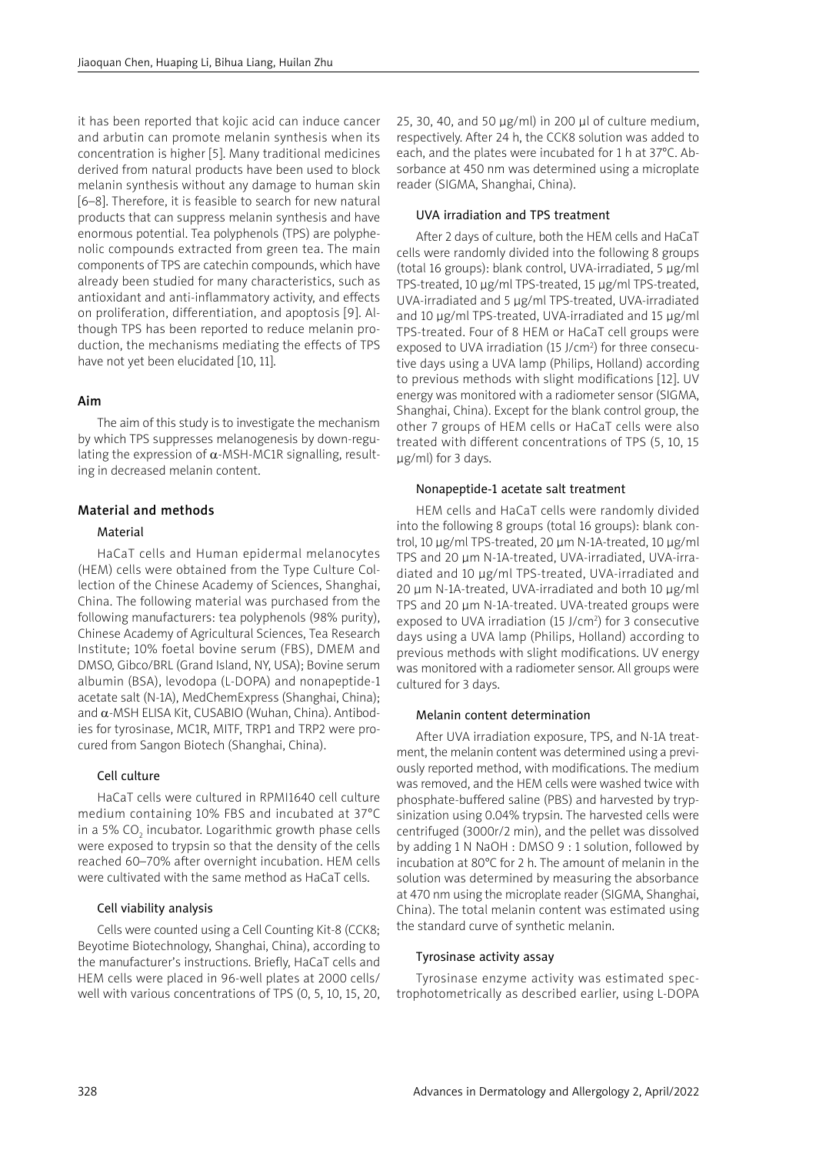it has been reported that kojic acid can induce cancer and arbutin can promote melanin synthesis when its concentration is higher [5]. Many traditional medicines derived from natural products have been used to block melanin synthesis without any damage to human skin [6–8]. Therefore, it is feasible to search for new natural products that can suppress melanin synthesis and have enormous potential. Tea polyphenols (TPS) are polyphenolic compounds extracted from green tea. The main components of TPS are catechin compounds, which have already been studied for many characteristics, such as antioxidant and anti-inflammatory activity, and effects on proliferation, differentiation, and apoptosis [9]. Although TPS has been reported to reduce melanin production, the mechanisms mediating the effects of TPS have not yet been elucidated [10, 11].

## Aim

The aim of this study is to investigate the mechanism by which TPS suppresses melanogenesis by down-regulating the expression of  $\alpha$ -MSH-MC1R signalling, resulting in decreased melanin content.

## Material and methods

## Material

HaCaT cells and Human epidermal melanocytes (HEM) cells were obtained from the Type Culture Collection of the Chinese Academy of Sciences, Shanghai, China. The following material was purchased from the following manufacturers: tea polyphenols (98% purity), Chinese Academy of Agricultural Sciences, Tea Research Institute; 10% foetal bovine serum (FBS), DMEM and DMSO, Gibco/BRL (Grand Island, NY, USA); Bovine serum albumin (BSA), levodopa (L-DOPA) and nonapeptide-1 acetate salt (N-1A), MedChemExpress (Shanghai, China); and α-MSH ELISA Kit, CUSABIO (Wuhan, China). Antibodies for tyrosinase, MC1R, MITF, TRP1 and TRP2 were procured from Sangon Biotech (Shanghai, China).

## Cell culture

HaCaT cells were cultured in RPMI1640 cell culture medium containing 10% FBS and incubated at 37°C in a 5% CO $_{\rm 2}$  incubator. Logarithmic growth phase cells were exposed to trypsin so that the density of the cells reached 60–70% after overnight incubation. HEM cells were cultivated with the same method as HaCaT cells.

## Cell viability analysis

Cells were counted using a Cell Counting Kit-8 (CCK8; Beyotime Biotechnology, Shanghai, China), according to the manufacturer's instructions. Briefly, HaCaT cells and HEM cells were placed in 96-well plates at 2000 cells/ well with various concentrations of TPS (0, 5, 10, 15, 20, 25, 30, 40, and 50 μg/ml) in 200 μl of culture medium, respectively. After 24 h, the CCK8 solution was added to each, and the plates were incubated for 1 h at 37°C. Absorbance at 450 nm was determined using a microplate reader (SIGMA, Shanghai, China).

#### UVA irradiation and TPS treatment

After 2 days of culture, both the HEM cells and HaCaT cells were randomly divided into the following 8 groups (total 16 groups): blank control, UVA-irradiated, 5 μg/ml TPS-treated, 10 μg/ml TPS-treated, 15 μg/ml TPS-treated, UVA-irradiated and 5 μg/ml TPS-treated, UVA-irradiated and 10 μg/ml TPS-treated, UVA-irradiated and 15 μg/ml TPS-treated. Four of 8 HEM or HaCaT cell groups were exposed to UVA irradiation (15 J/ $cm<sup>2</sup>$ ) for three consecutive days using a UVA lamp (Philips, Holland) according to previous methods with slight modifications [12]. UV energy was monitored with a radiometer sensor (SIGMA, Shanghai, China). Except for the blank control group, the other 7 groups of HEM cells or HaCaT cells were also treated with different concentrations of TPS (5, 10, 15 μg/ml) for 3 days.

#### Nonapeptide-1 acetate salt treatment

HEM cells and HaCaT cells were randomly divided into the following 8 groups (total 16 groups): blank control, 10 μg/ml TPS-treated, 20 μm N-1A-treated, 10 μg/ml TPS and 20 μm N-1A-treated, UVA-irradiated, UVA-irradiated and 10 μg/ml TPS-treated, UVA-irradiated and 20 μm N-1A-treated, UVA-irradiated and both 10 μg/ml TPS and 20 μm N-1A-treated. UVA-treated groups were exposed to UVA irradiation (15 J/cm<sup>2</sup>) for 3 consecutive days using a UVA lamp (Philips, Holland) according to previous methods with slight modifications. UV energy was monitored with a radiometer sensor. All groups were cultured for 3 days.

#### Melanin content determination

After UVA irradiation exposure, TPS, and N-1A treatment, the melanin content was determined using a previously reported method, with modifications. The medium was removed, and the HEM cells were washed twice with phosphate-buffered saline (PBS) and harvested by trypsinization using 0.04% trypsin. The harvested cells were centrifuged (3000r/2 min), and the pellet was dissolved by adding 1 N NaOH : DMSO 9 : 1 solution, followed by incubation at 80°C for 2 h. The amount of melanin in the solution was determined by measuring the absorbance at 470 nm using the microplate reader (SIGMA, Shanghai, China). The total melanin content was estimated using the standard curve of synthetic melanin.

#### Tyrosinase activity assay

Tyrosinase enzyme activity was estimated spectrophotometrically as described earlier, using L-DOPA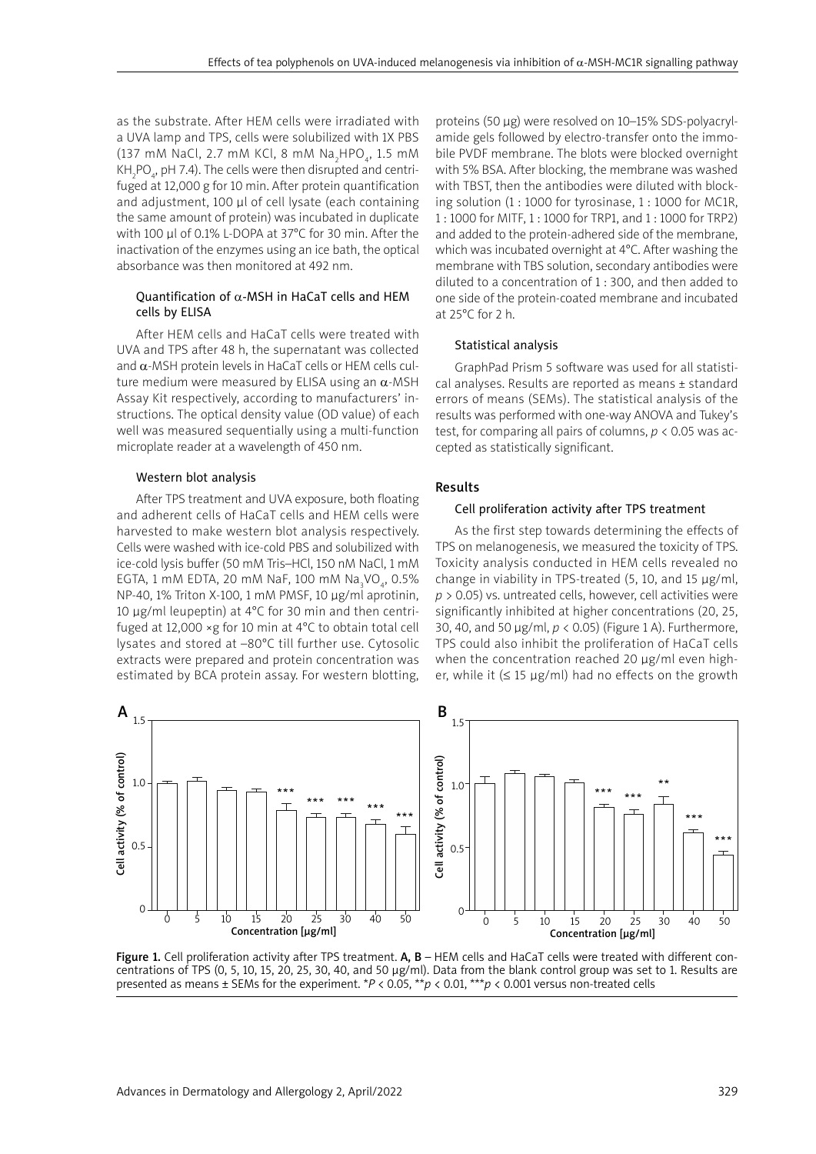as the substrate. After HEM cells were irradiated with a UVA lamp and TPS, cells were solubilized with 1X PBS (137 mM NaCl, 2.7 mM KCl, 8 mM Na $_2$ HPO $_4$ , 1.5 mM KH $_2$ PO $_4$ , pH 7.4). The cells were then disrupted and centrifuged at 12,000 g for 10 min. After protein quantification and adjustment, 100 µl of cell lysate (each containing the same amount of protein) was incubated in duplicate with 100 µl of 0.1% L-DOPA at 37°C for 30 min. After the inactivation of the enzymes using an ice bath, the optical absorbance was then monitored at 492 nm.

## Quantification of α-MSH in HaCaT cells and HEM cells by ELISA

After HEM cells and HaCaT cells were treated with UVA and TPS after 48 h, the supernatant was collected and  $\alpha$ -MSH protein levels in HaCaT cells or HEM cells culture medium were measured by ELISA using an  $\alpha$ -MSH Assay Kit respectively, according to manufacturers' instructions. The optical density value (OD value) of each well was measured sequentially using a multi-function microplate reader at a wavelength of 450 nm.

## Western blot analysis

After TPS treatment and UVA exposure, both floating and adherent cells of HaCaT cells and HEM cells were harvested to make western blot analysis respectively. Cells were washed with ice-cold PBS and solubilized with ice-cold lysis buffer (50 mM Tris–HCl, 150 nM NaCl, 1 mM EGTA, 1 mM EDTA, 20 mM NaF, 100 mM Na<sub>3</sub>VO<sub>4</sub>, 0.5% NP-40, 1% Triton X-100, 1 mM PMSF, 10 μg/ml aprotinin, 10 μg/ml leupeptin) at 4°C for 30 min and then centrifuged at 12,000  $\times$ g for 10 min at 4°C to obtain total cell lysates and stored at –80°C till further use. Cytosolic extracts were prepared and protein concentration was estimated by BCA protein assay. For western blotting,

proteins (50 μg) were resolved on 10–15% SDS-polyacrylamide gels followed by electro-transfer onto the immobile PVDF membrane. The blots were blocked overnight with 5% BSA. After blocking, the membrane was washed with TBST, then the antibodies were diluted with blocking solution (1 : 1000 for tyrosinase, 1 : 1000 for MC1R, 1 : 1000 for MITF, 1 : 1000 for TRP1, and 1 : 1000 for TRP2) and added to the protein-adhered side of the membrane, which was incubated overnight at 4°C. After washing the membrane with TBS solution, secondary antibodies were diluted to a concentration of 1 : 300, and then added to one side of the protein-coated membrane and incubated at 25°C for 2 h.

#### Statistical analysis

GraphPad Prism 5 software was used for all statistical analyses. Results are reported as means ± standard errors of means (SEMs). The statistical analysis of the results was performed with one-way ANOVA and Tukey's test, for comparing all pairs of columns, *p* < 0.05 was accepted as statistically significant.

## Results

## Cell proliferation activity after TPS treatment

As the first step towards determining the effects of TPS on melanogenesis, we measured the toxicity of TPS. Toxicity analysis conducted in HEM cells revealed no change in viability in TPS-treated (5, 10, and 15 μg/ml, *p* > 0.05) vs. untreated cells, however, cell activities were significantly inhibited at higher concentrations (20, 25, 30, 40, and 50 μg/ml, *p* < 0.05) (Figure 1 A). Furthermore, TPS could also inhibit the proliferation of HaCaT cells when the concentration reached 20 μg/ml even higher, while it  $(≤ 15 \mu g/ml)$  had no effects on the growth



Figure 1. Cell proliferation activity after TPS treatment. A, B - HEM cells and HaCaT cells were treated with different concentrations of TPS (0, 5, 10, 15, 20, 25, 30, 40, and 50 μg/ml). Data from the blank control group was set to 1. Results are presented as means ± SEMs for the experiment. \**P* < 0.05, \*\**p* < 0.01, \*\*\**p* < 0.001 versus non-treated cells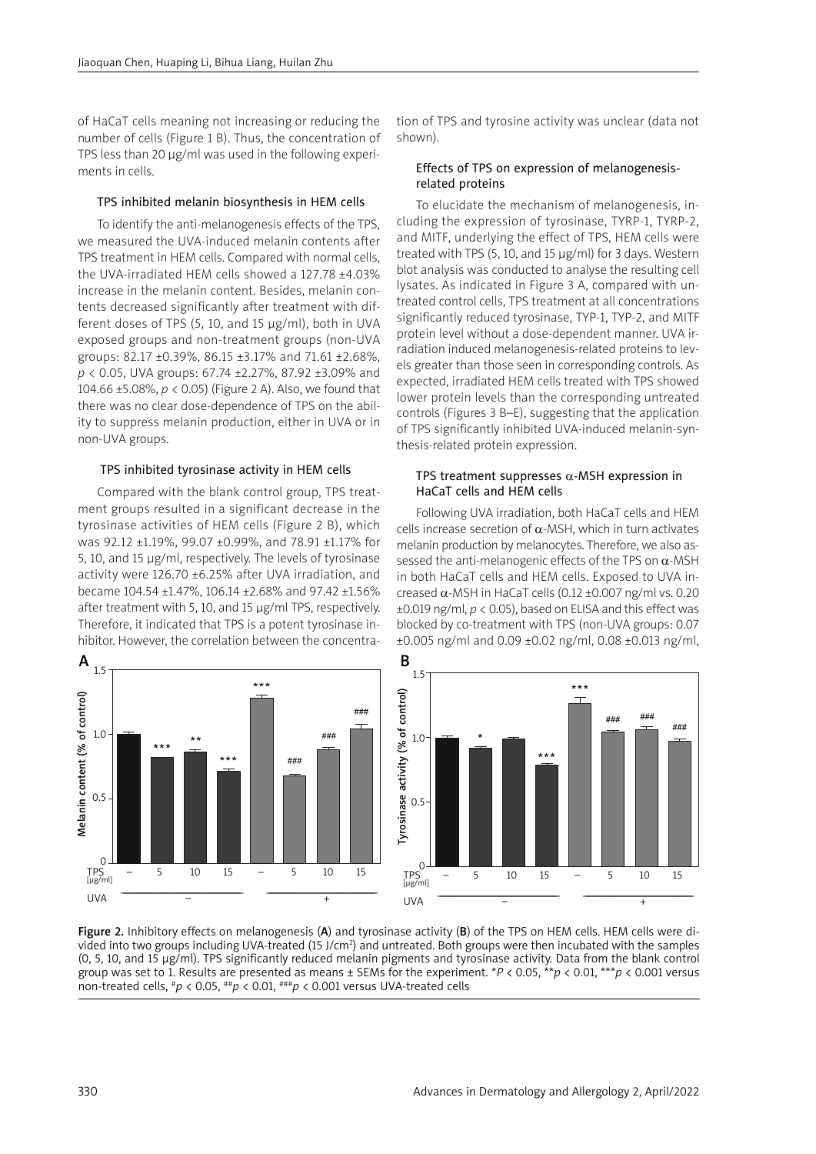of HaCaT cells meaning not increasing or reducing the number of cells (Figure 1 B). Thus, the concentration of TPS less than 20 μg/ml was used in the following experiments in cells.

## TPS inhibited melanin biosynthesis in HEM cells

To identify the anti-melanogenesis effects of the TPS, we measured the UVA-induced melanin contents after TPS treatment in HEM cells. Compared with normal cells, the UVA-irradiated HEM cells showed a 127.78 ±4.03% increase in the melanin content. Besides, melanin contents decreased significantly after treatment with different doses of TPS (5, 10, and 15 μg/ml), both in UVA exposed groups and non-treatment groups (non-UVA groups: 82.17 ±0.39%, 86.15 ±3.17% and 71.61 ±2.68%, *p* < 0.05, UVA groups: 67.74 ±2.27%, 87.92 ±3.09% and 104.66 ±5.08%, *p* < 0.05) (Figure 2 A). Also, we found that there was no clear dose-dependence of TPS on the ability to suppress melanin production, either in UVA or in non-UVA groups.

#### TPS inhibited tyrosinase activity in HEM cells

Compared with the blank control group, TPS treatment groups resulted in a significant decrease in the tyrosinase activities of HEM cells (Figure 2 B), which was 92.12 ±1.19%, 99.07 ±0.99%, and 78.91 ±1.17% for 5, 10, and 15 μg/ml, respectively. The levels of tyrosinase activity were 126.70 ±6.25% after UVA irradiation, and became 104.54 ±1.47%, 106.14 ±2.68% and 97.42 ±1.56% after treatment with 5, 10, and 15 μg/ml TPS, respectively. Therefore, it indicated that TPS is a potent tyrosinase inhibitor. However, the correlation between the concentra-



tion of TPS and tyrosine activity was unclear (data not shown).

#### Effects of TPS on expression of melanogenesisrelated proteins

To elucidate the mechanism of melanogenesis, including the expression of tyrosinase, TYRP-1, TYRP-2, and MITF, underlying the effect of TPS, HEM cells were treated with TPS (5, 10, and 15 µg/ml) for 3 days. Western blot analysis was conducted to analyse the resulting cell lysates. As indicated in Figure 3 A, compared with untreated control cells, TPS treatment at all concentrations significantly reduced tyrosinase, TYP-1, TYP-2, and MITF protein level without a dose-dependent manner. UVA irradiation induced melanogenesis-related proteins to levels greater than those seen in corresponding controls. As expected, irradiated HEM cells treated with TPS showed lower protein levels than the corresponding untreated controls (Figures 3 B–E), suggesting that the application of TPS significantly inhibited UVA-induced melanin-synthesis-related protein expression.

### TPS treatment suppresses  $\alpha$ -MSH expression in HaCaT cells and HEM cells

Following UVA irradiation, both HaCaT cells and HEM cells increase secretion of α-MSH, which in turn activates melanin production by melanocytes. Therefore, we also assessed the anti-melanogenic effects of the TPS on  $\alpha$ -MSH in both HaCaT cells and HEM cells. Exposed to UVA increased  $\alpha$ -MSH in HaCaT cells (0.12 ±0.007 ng/ml vs. 0.20 ±0.019 ng/ml, *p* < 0.05), based on ELISA and this effect was blocked by co-treatment with TPS (non-UVA groups: 0.07 ±0.005 ng/ml and 0.09 ±0.02 ng/ml, 0.08 ±0.013 ng/ml,



Figure 2. Inhibitory effects on melanogenesis (A) and tyrosinase activity (B) of the TPS on HEM cells. HEM cells were divided into two groups including UVA-treated (15 J/cm<sup>2</sup>) and untreated. Both groups were then incubated with the samples (0, 5, 10, and 15 μg/ml). TPS significantly reduced melanin pigments and tyrosinase activity. Data from the blank control group was set to 1. Results are presented as means ± SEMs for the experiment. \**P* < 0.05, \*\**p* < 0.01, \*\*\**p* < 0.001 versus non-treated cells, #*p* < 0.05, ##*p* < 0.01, ###*p* < 0.001 versus UVA-treated cells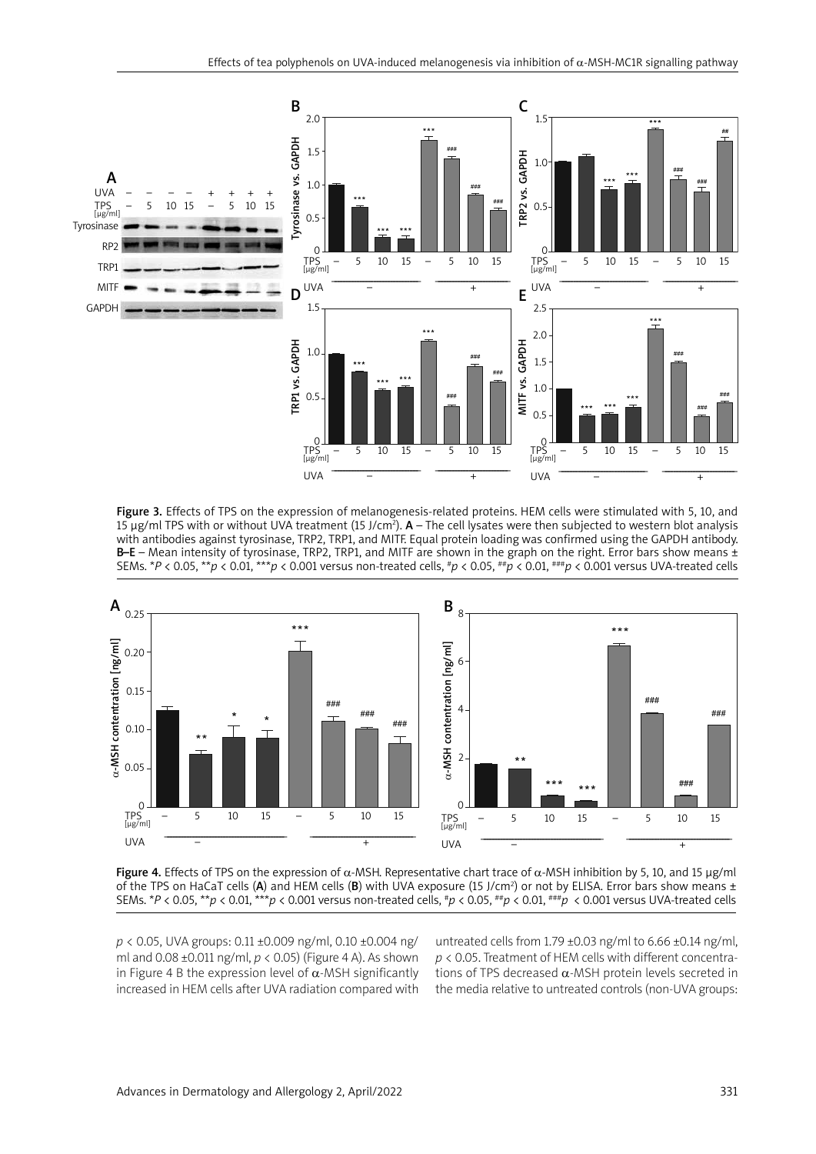

Figure 3. Effects of TPS on the expression of melanogenesis-related proteins. HEM cells were stimulated with 5, 10, and 15  $\mu$ g/ml TPS with or without UVA treatment (15 J/cm<sup>2</sup>). A – The cell lysates were then subjected to western blot analysis with antibodies against tyrosinase, TRP2, TRP1, and MITF. Equal protein loading was confirmed using the GAPDH antibody. B–E – Mean intensity of tyrosinase, TRP2, TRP1, and MITF are shown in the graph on the right. Error bars show means  $\pm$ SEMs. \**P* < 0.05, \*\**p* < 0.01, \*\*\**p* < 0.001 versus non-treated cells, #*p* < 0.05, ##*p* < 0.01, ###*p* < 0.001 versus UVA-treated cells



Figure 4. Effects of TPS on the expression of α-MSH. Representative chart trace of α-MSH inhibition by 5, 10, and 15 μg/ml of the TPS on HaCaT cells (A) and HEM cells (B) with UVA exposure (15 J/cm<sup>2</sup>) or not by ELISA. Error bars show means  $\pm$ SEMs. \**P* < 0.05, \*\**p* < 0.01, \*\*\**p* < 0.001 versus non-treated cells, #*p* < 0.05, ##*p* < 0.01, ###*p* < 0.001 versus UVA-treated cells

*p* < 0.05, UVA groups: 0.11 ±0.009 ng/ml, 0.10 ±0.004 ng/ ml and 0.08 ±0.011 ng/ml, *p* < 0.05) (Figure 4 A). As shown in Figure 4 B the expression level of  $\alpha$ -MSH significantly increased in HEM cells after UVA radiation compared with untreated cells from  $1.79 \pm 0.03$  ng/ml to  $6.66 \pm 0.14$  ng/ml, *p* < 0.05. Treatment of HEM cells with different concentrations of TPS decreased α-MSH protein levels secreted in the media relative to untreated controls (non-UVA groups: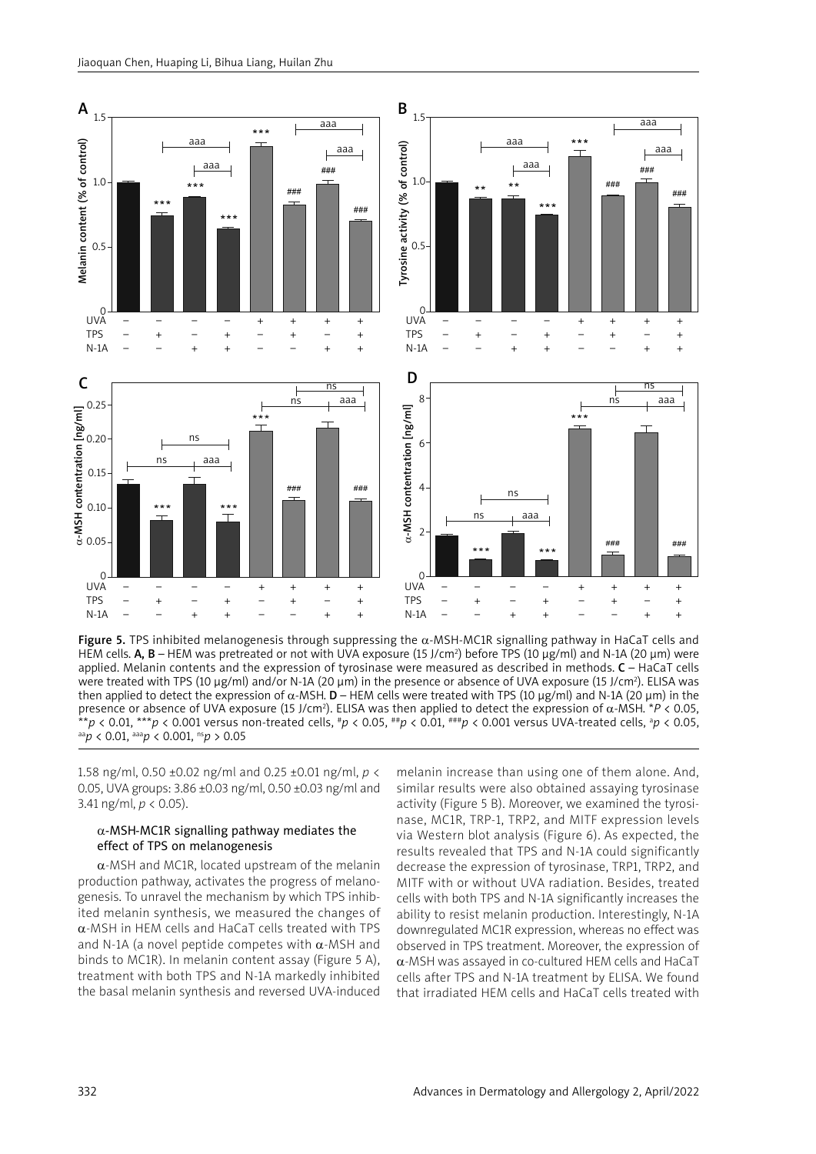

Figure 5. TPS inhibited melanogenesis through suppressing the  $\alpha$ -MSH-MC1R signalling pathway in HaCaT cells and HEM cells.  $A$ ,  $B$  – HEM was pretreated or not with UVA exposure (15 J/cm<sup>2</sup>) before TPS (10  $\mu$ g/ml) and N-1A (20  $\mu$ m) were applied. Melanin contents and the expression of tyrosinase were measured as described in methods.  $C - HaCaT$  cells were treated with TPS (10 μg/ml) and/or N-1A (20 μm) in the presence or absence of UVA exposure (15 J/cm²). ELISA was then applied to detect the expression of α-MSH. **D** – HEM cells were treated with TPS (10 μg/ml) and N-1A (20 μm) in the presence or absence of UVA exposure (15 J/cm<sup>2</sup>). ELISA was then applied to detect the expression of α-MSH.  $*P < 0.05$ , \*\**p* < 0.01, \*\*\**p* < 0.001 versus non-treated cells, #*p* < 0.05, ##*p* < 0.01, ###*p* < 0.001 versus UVA-treated cells, <sup>a</sup> *p* < 0.05, aa*p* < 0.01, aaa*p* < 0.001, ns*p* > 0.05

1.58 ng/ml, 0.50 ±0.02 ng/ml and 0.25 ±0.01 ng/ml, *p* < 0.05, UVA groups: 3.86 ±0.03 ng/ml, 0.50 ±0.03 ng/ml and 3.41 ng/ml, *p* < 0.05).

## $\alpha$ -MSH-MC1R signalling pathway mediates the effect of TPS on melanogenesis

 $\alpha$ -MSH and MC1R, located upstream of the melanin production pathway, activates the progress of melanogenesis. To unravel the mechanism by which TPS inhibited melanin synthesis, we measured the changes of α-MSH in HEM cells and HaCaT cells treated with TPS and N-1A (a novel peptide competes with  $\alpha$ -MSH and binds to MC1R). In melanin content assay (Figure 5 A), treatment with both TPS and N-1A markedly inhibited the basal melanin synthesis and reversed UVA-induced

melanin increase than using one of them alone. And, similar results were also obtained assaying tyrosinase activity (Figure 5 B). Moreover, we examined the tyrosinase, MC1R, TRP-1, TRP2, and MITF expression levels via Western blot analysis (Figure 6). As expected, the results revealed that TPS and N-1A could significantly decrease the expression of tyrosinase, TRP1, TRP2, and MITF with or without UVA radiation. Besides, treated cells with both TPS and N-1A significantly increases the ability to resist melanin production. Interestingly, N-1A downregulated MC1R expression, whereas no effect was observed in TPS treatment. Moreover, the expression of α-MSH was assayed in co-cultured HEM cells and HaCaT cells after TPS and N-1A treatment by ELISA. We found that irradiated HEM cells and HaCaT cells treated with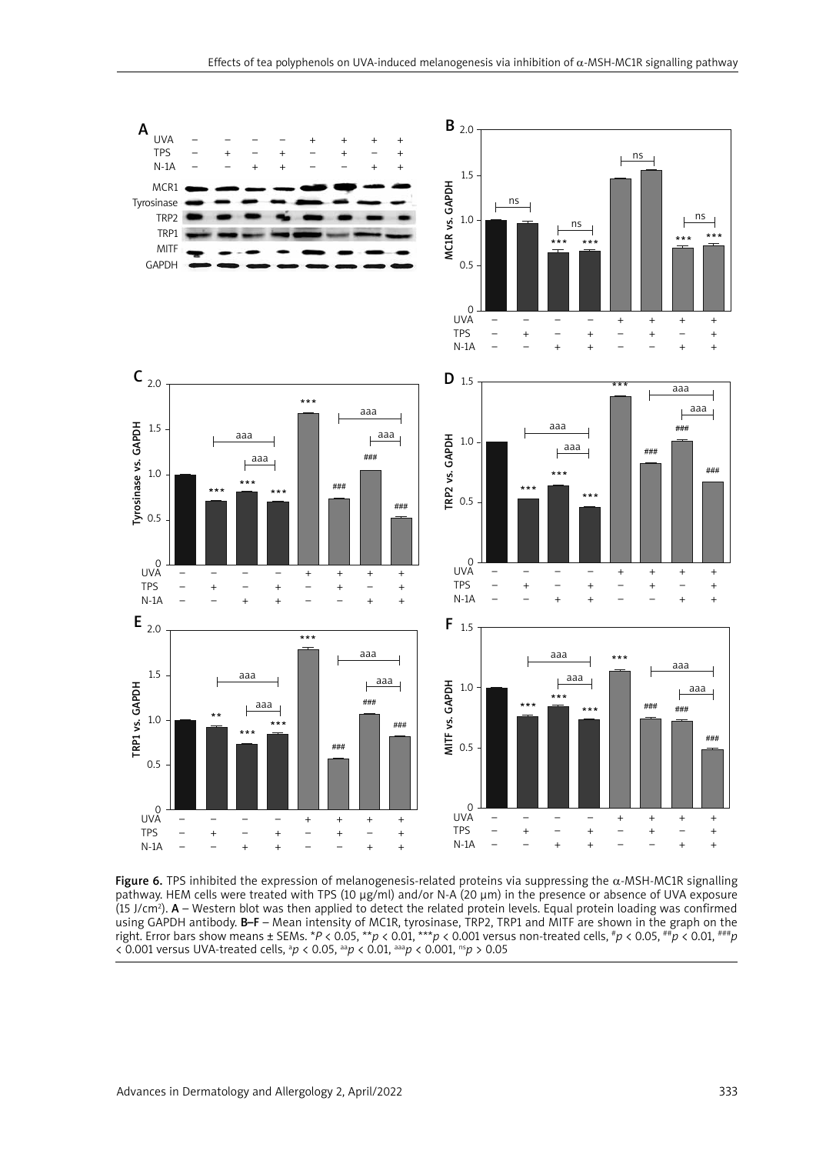

Figure 6. TPS inhibited the expression of melanogenesis-related proteins via suppressing the  $\alpha$ -MSH-MC1R signalling pathway. HEM cells were treated with TPS (10 μg/ml) and/or N-A (20 μm) in the presence or absence of UVA exposure (15 J/cm2 ). A – Western blot was then applied to detect the related protein levels. Equal protein loading was confirmed using GAPDH antibody. B-F – Mean intensity of MC1R, tyrosinase, TRP2, TRP1 and MITF are shown in the graph on the right. Error bars show means ± SEMs. \**P* < 0.05, \*\**p* < 0.01, \*\*\**p* < 0.001 versus non-treated cells, #*p* < 0.05, ##*p* < 0.01, ###*p* < 0.001 versus UVA-treated cells, <sup>a</sup> *p* < 0.05, aa*p* < 0.01, aaa*p* < 0.001, ns*p* > 0.05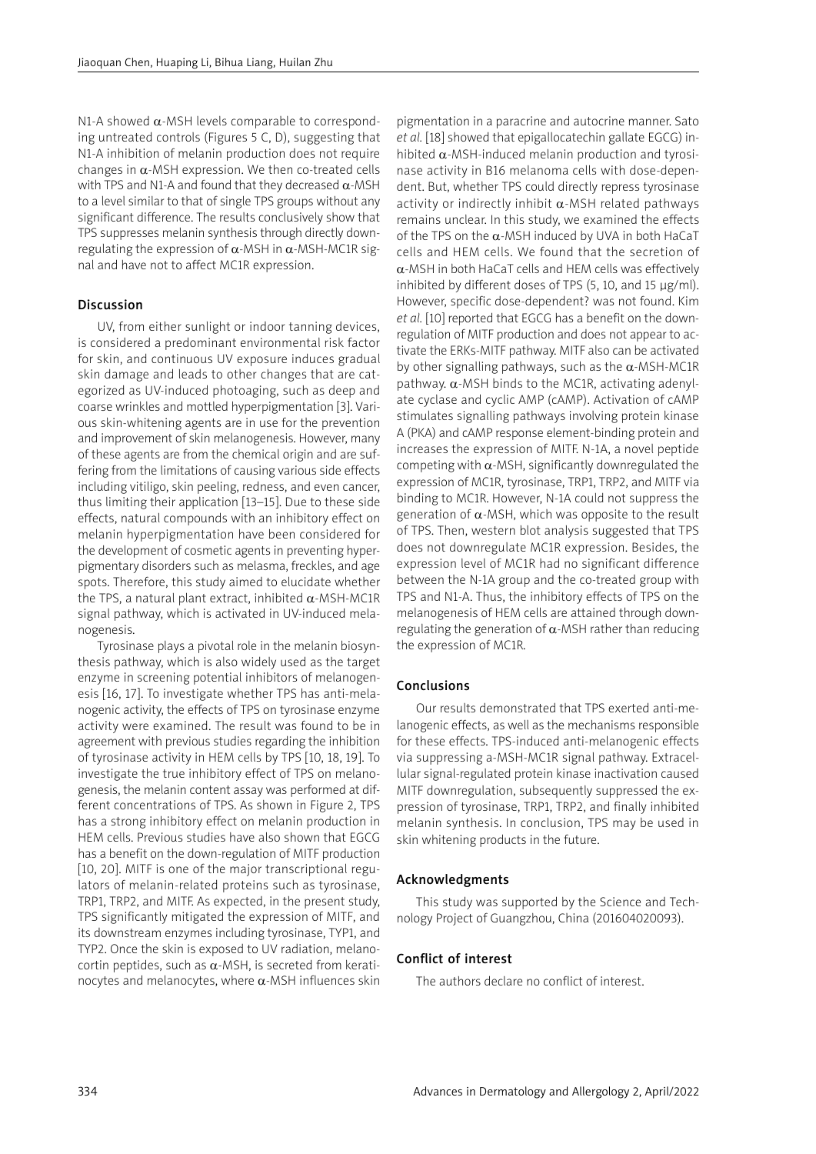N1-A showed  $\alpha$ -MSH levels comparable to corresponding untreated controls (Figures 5 C, D), suggesting that N1-A inhibition of melanin production does not require changes in  $\alpha$ -MSH expression. We then co-treated cells with TPS and N1-A and found that they decreased  $\alpha$ -MSH to a level similar to that of single TPS groups without any significant difference. The results conclusively show that TPS suppresses melanin synthesis through directly downregulating the expression of  $\alpha$ -MSH in  $\alpha$ -MSH-MC1R signal and have not to affect MC1R expression.

## Discussion

UV, from either sunlight or indoor tanning devices, is considered a predominant environmental risk factor for skin, and continuous UV exposure induces gradual skin damage and leads to other changes that are categorized as UV-induced photoaging, such as deep and coarse wrinkles and mottled hyperpigmentation [3]. Various skin-whitening agents are in use for the prevention and improvement of skin melanogenesis. However, many of these agents are from the chemical origin and are suffering from the limitations of causing various side effects including vitiligo, skin peeling, redness, and even cancer, thus limiting their application [13–15]. Due to these side effects, natural compounds with an inhibitory effect on melanin hyperpigmentation have been considered for the development of cosmetic agents in preventing hyperpigmentary disorders such as melasma, freckles, and age spots. Therefore, this study aimed to elucidate whether the TPS, a natural plant extract, inhibited  $α$ -MSH-MC1R signal pathway, which is activated in UV-induced melanogenesis.

Tyrosinase plays a pivotal role in the melanin biosynthesis pathway, which is also widely used as the target enzyme in screening potential inhibitors of melanogenesis [16, 17]. To investigate whether TPS has anti-melanogenic activity, the effects of TPS on tyrosinase enzyme activity were examined. The result was found to be in agreement with previous studies regarding the inhibition of tyrosinase activity in HEM cells by TPS [10, 18, 19]. To investigate the true inhibitory effect of TPS on melanogenesis, the melanin content assay was performed at different concentrations of TPS. As shown in Figure 2, TPS has a strong inhibitory effect on melanin production in HEM cells. Previous studies have also shown that EGCG has a benefit on the down-regulation of MITF production [10, 20]. MITF is one of the major transcriptional regulators of melanin-related proteins such as tyrosinase, TRP1, TRP2, and MITF. As expected, in the present study, TPS significantly mitigated the expression of MITF, and its downstream enzymes including tyrosinase, TYP1, and TYP2. Once the skin is exposed to UV radiation, melanocortin peptides, such as α-MSH, is secreted from keratinocytes and melanocytes, where α-MSH influences skin

pigmentation in a paracrine and autocrine manner. Sato *et al.* [18] showed that epigallocatechin gallate EGCG) inhibited  $\alpha$ -MSH-induced melanin production and tyrosinase activity in B16 melanoma cells with dose-dependent. But, whether TPS could directly repress tyrosinase activity or indirectly inhibit  $\alpha$ -MSH related pathways remains unclear. In this study, we examined the effects of the TPS on the  $\alpha$ -MSH induced by UVA in both HaCaT cells and HEM cells. We found that the secretion of  $\alpha$ -MSH in both HaCaT cells and HEM cells was effectively inhibited by different doses of TPS (5, 10, and 15 μg/ml). However, specific dose-dependent? was not found. Kim *et al.* [10] reported that EGCG has a benefit on the downregulation of MITF production and does not appear to activate the ERKs-MITF pathway. MITF also can be activated by other signalling pathways, such as the  $\alpha$ -MSH-MC1R pathway. α-MSH binds to the MC1R, activating adenylate cyclase and cyclic AMP (cAMP). Activation of cAMP stimulates signalling pathways involving protein kinase A (PKA) and cAMP response element-binding protein and increases the expression of MITF. N-1A, a novel peptide competing with  $\alpha$ -MSH, significantly downregulated the expression of MC1R, tyrosinase, TRP1, TRP2, and MITF via binding to MC1R. However, N-1A could not suppress the generation of  $\alpha$ -MSH, which was opposite to the result of TPS. Then, western blot analysis suggested that TPS does not downregulate MC1R expression. Besides, the expression level of MC1R had no significant difference between the N-1A group and the co-treated group with TPS and N1-A. Thus, the inhibitory effects of TPS on the melanogenesis of HEM cells are attained through downregulating the generation of  $\alpha$ -MSH rather than reducing the expression of MC1R.

## Conclusions

Our results demonstrated that TPS exerted anti-melanogenic effects, as well as the mechanisms responsible for these effects. TPS-induced anti-melanogenic effects via suppressing a-MSH-MC1R signal pathway. Extracellular signal-regulated protein kinase inactivation caused MITF downregulation, subsequently suppressed the expression of tyrosinase, TRP1, TRP2, and finally inhibited melanin synthesis. In conclusion, TPS may be used in skin whitening products in the future.

## Acknowledgments

This study was supported by the Science and Technology Project of Guangzhou, China (201604020093).

## Conflict of interest

The authors declare no conflict of interest.